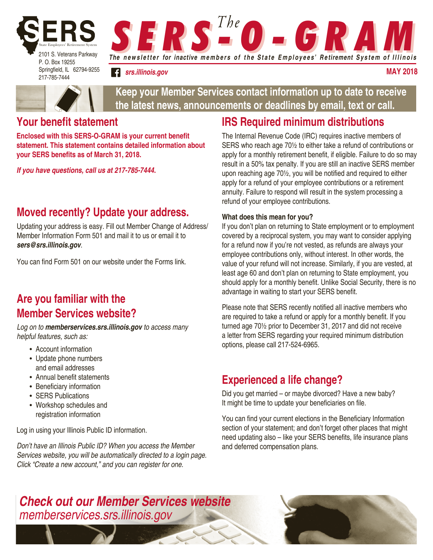

217-785-7444

**S E R S <sup>The</sup> O - G R A M** 

*srs.illinois.gov*

**may 2018**



**Keep your Member Services contact information up to date to receive the latest news, announcements or deadlines by email, text or call.**

### **Your benefit statement**

**Enclosed with this SERS-O-GRAM is your current benefit statement. This statement contains detailed information about your SERS benefits as of March 31, 2018.** 

*If you have questions, call us at 217-785-7444.* 

## **Moved recently? Update your address.**

Updating your address is easy. Fill out Member Change of Address/ Member Information Form 501 and mail it to us or email it to *sers@srs.illinois.gov*.

You can find Form 501 on our website under the Forms link.

## **Are you familiar with the Member Services website?**

*Log on to memberservices.srs.illinois.gov to access many helpful features, such as:*

- Account information
- Update phone numbers and email addresses
- Annual benefit statements
- Beneficiary information
- SERS Publications
- Workshop schedules and registration information

Log in using your Illinois Public ID information.

*Don't have an Illinois Public ID? When you access the Member Services website, you will be automatically directed to a login page. Click "Create a new account," and you can register for one.*

## **IRS Required minimum distributions**

The Internal Revenue Code (IRC) requires inactive members of SERS who reach age 70½ to either take a refund of contributions or apply for a monthly retirement benefit, if eligible. Failure to do so may result in a 50% tax penalty. If you are still an inactive SERS member upon reaching age 70½, you will be notified and required to either apply for a refund of your employee contributions or a retirement annuity. Failure to respond will result in the system processing a refund of your employee contributions.

#### **What does this mean for you?**

If you don't plan on returning to State employment or to employment covered by a reciprocal system, you may want to consider applying for a refund now if you're not vested, as refunds are always your employee contributions only, without interest. In other words, the value of your refund will not increase. Similarly, if you are vested, at least age 60 and don't plan on returning to State employment, you should apply for a monthly benefit. Unlike Social Security, there is no advantage in waiting to start your SERS benefit.

Please note that SERS recently notified all inactive members who are required to take a refund or apply for a monthly benefit. If you turned age 70½ prior to December 31, 2017 and did not receive a letter from SERS regarding your required minimum distribution options, please call 217-524-6965.

### **Experienced a life change?**

Did you get married – or maybe divorced? Have a new baby? It might be time to update your beneficiaries on file.

You can find your current elections in the Beneficiary Information section of your statement; and don't forget other places that might need updating also – like your SERS benefits, life insurance plans and deferred compensation plans.

### *Check out our Member Services website memberservices.srs.illinois.gov*